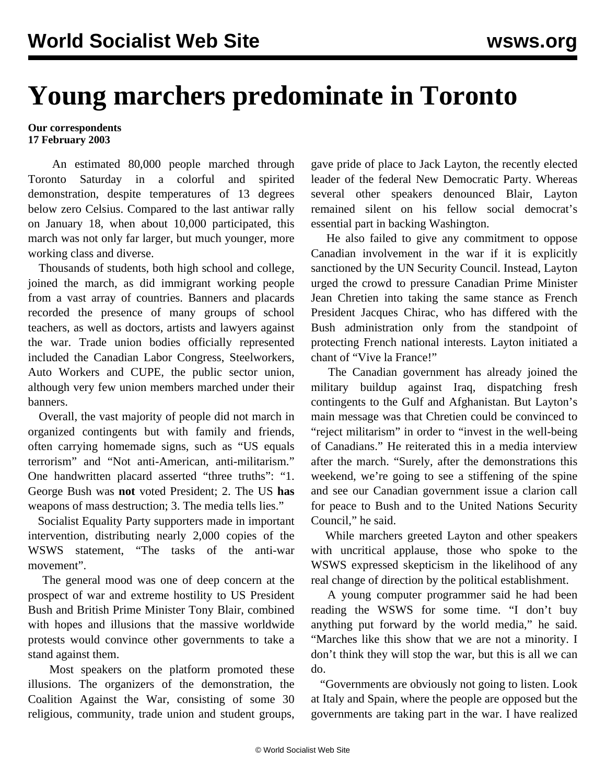## **Young marchers predominate in Toronto**

## **Our correspondents 17 February 2003**

 An estimated 80,000 people marched through Toronto Saturday in a colorful and spirited demonstration, despite temperatures of 13 degrees below zero Celsius. Compared to the last antiwar rally on January 18, when about 10,000 participated, this march was not only far larger, but much younger, more working class and diverse.

 Thousands of students, both high school and college, joined the march, as did immigrant working people from a vast array of countries. Banners and placards recorded the presence of many groups of school teachers, as well as doctors, artists and lawyers against the war. Trade union bodies officially represented included the Canadian Labor Congress, Steelworkers, Auto Workers and CUPE, the public sector union, although very few union members marched under their banners.

 Overall, the vast majority of people did not march in organized contingents but with family and friends, often carrying homemade signs, such as "US equals terrorism" and "Not anti-American, anti-militarism." One handwritten placard asserted "three truths": "1. George Bush was **not** voted President; 2. The US **has** weapons of mass destruction; 3. The media tells lies."

 Socialist Equality Party supporters made in important intervention, distributing nearly 2,000 copies of the WSWS statement, "The tasks of the anti-war movement".

 The general mood was one of deep concern at the prospect of war and extreme hostility to US President Bush and British Prime Minister Tony Blair, combined with hopes and illusions that the massive worldwide protests would convince other governments to take a stand against them.

 Most speakers on the platform promoted these illusions. The organizers of the demonstration, the Coalition Against the War, consisting of some 30 religious, community, trade union and student groups, gave pride of place to Jack Layton, the recently elected leader of the federal New Democratic Party. Whereas several other speakers denounced Blair, Layton remained silent on his fellow social democrat's essential part in backing Washington.

 He also failed to give any commitment to oppose Canadian involvement in the war if it is explicitly sanctioned by the UN Security Council. Instead, Layton urged the crowd to pressure Canadian Prime Minister Jean Chretien into taking the same stance as French President Jacques Chirac, who has differed with the Bush administration only from the standpoint of protecting French national interests. Layton initiated a chant of "Vive la France!"

 The Canadian government has already joined the military buildup against Iraq, dispatching fresh contingents to the Gulf and Afghanistan. But Layton's main message was that Chretien could be convinced to "reject militarism" in order to "invest in the well-being of Canadians." He reiterated this in a media interview after the march. "Surely, after the demonstrations this weekend, we're going to see a stiffening of the spine and see our Canadian government issue a clarion call for peace to Bush and to the United Nations Security Council," he said.

 While marchers greeted Layton and other speakers with uncritical applause, those who spoke to the WSWS expressed skepticism in the likelihood of any real change of direction by the political establishment.

 A young computer programmer said he had been reading the WSWS for some time. "I don't buy anything put forward by the world media," he said. "Marches like this show that we are not a minority. I don't think they will stop the war, but this is all we can do.

 "Governments are obviously not going to listen. Look at Italy and Spain, where the people are opposed but the governments are taking part in the war. I have realized